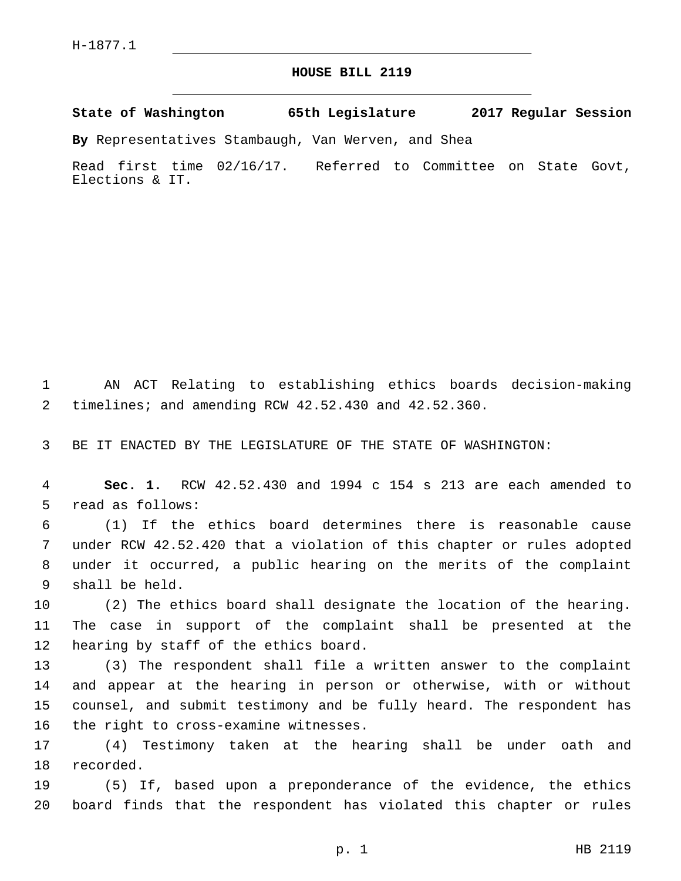## **HOUSE BILL 2119**

**State of Washington 65th Legislature 2017 Regular Session**

**By** Representatives Stambaugh, Van Werven, and Shea

Read first time 02/16/17. Referred to Committee on State Govt, Elections & IT.

1 AN ACT Relating to establishing ethics boards decision-making 2 timelines; and amending RCW 42.52.430 and 42.52.360.

3 BE IT ENACTED BY THE LEGISLATURE OF THE STATE OF WASHINGTON:

4 **Sec. 1.** RCW 42.52.430 and 1994 c 154 s 213 are each amended to 5 read as follows:

 (1) If the ethics board determines there is reasonable cause under RCW 42.52.420 that a violation of this chapter or rules adopted under it occurred, a public hearing on the merits of the complaint 9 shall be held.

10 (2) The ethics board shall designate the location of the hearing. 11 The case in support of the complaint shall be presented at the 12 hearing by staff of the ethics board.

 (3) The respondent shall file a written answer to the complaint and appear at the hearing in person or otherwise, with or without counsel, and submit testimony and be fully heard. The respondent has 16 the right to cross-examine witnesses.

17 (4) Testimony taken at the hearing shall be under oath and 18 recorded.

19 (5) If, based upon a preponderance of the evidence, the ethics 20 board finds that the respondent has violated this chapter or rules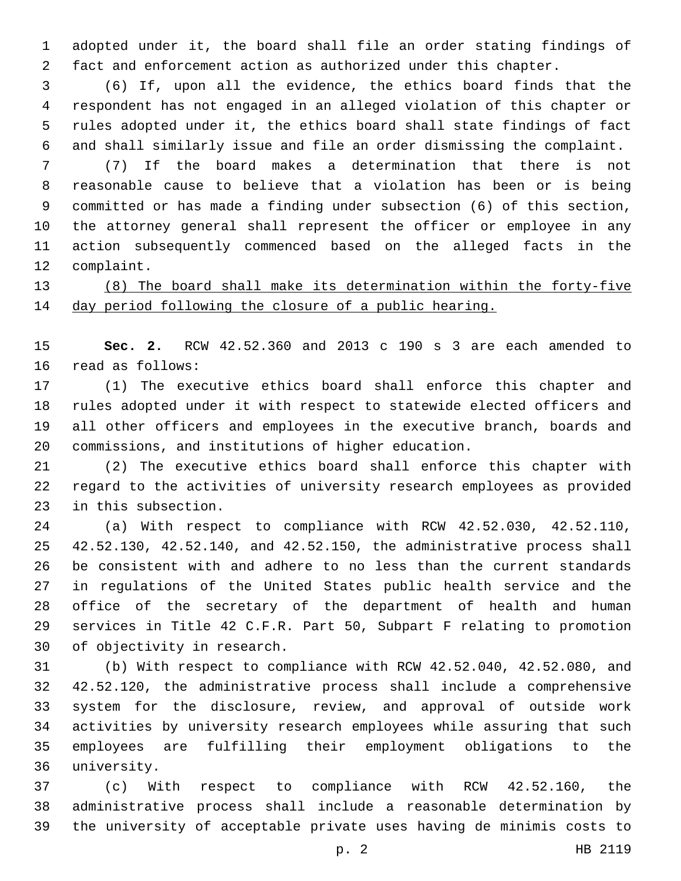adopted under it, the board shall file an order stating findings of fact and enforcement action as authorized under this chapter.

 (6) If, upon all the evidence, the ethics board finds that the respondent has not engaged in an alleged violation of this chapter or rules adopted under it, the ethics board shall state findings of fact and shall similarly issue and file an order dismissing the complaint.

 (7) If the board makes a determination that there is not reasonable cause to believe that a violation has been or is being committed or has made a finding under subsection (6) of this section, the attorney general shall represent the officer or employee in any action subsequently commenced based on the alleged facts in the 12 complaint.

 (8) The board shall make its determination within the forty-five day period following the closure of a public hearing.

 **Sec. 2.** RCW 42.52.360 and 2013 c 190 s 3 are each amended to 16 read as follows:

 (1) The executive ethics board shall enforce this chapter and rules adopted under it with respect to statewide elected officers and all other officers and employees in the executive branch, boards and commissions, and institutions of higher education.

 (2) The executive ethics board shall enforce this chapter with regard to the activities of university research employees as provided 23 in this subsection.

 (a) With respect to compliance with RCW 42.52.030, 42.52.110, 42.52.130, 42.52.140, and 42.52.150, the administrative process shall be consistent with and adhere to no less than the current standards in regulations of the United States public health service and the office of the secretary of the department of health and human services in Title 42 C.F.R. Part 50, Subpart F relating to promotion 30 of objectivity in research.

 (b) With respect to compliance with RCW 42.52.040, 42.52.080, and 42.52.120, the administrative process shall include a comprehensive system for the disclosure, review, and approval of outside work activities by university research employees while assuring that such employees are fulfilling their employment obligations to the 36 university.

 (c) With respect to compliance with RCW 42.52.160, the administrative process shall include a reasonable determination by the university of acceptable private uses having de minimis costs to